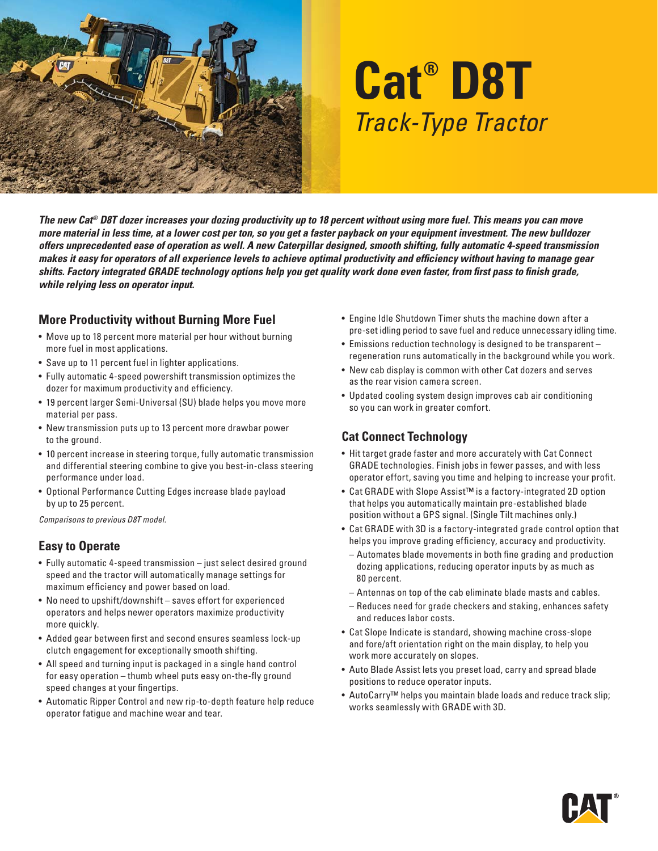

# **Cat® D8T** Track-Type Tractor

*The new Cat® D8T dozer increases your dozing productivity up to 18 percent without using more fuel. This means you can move more material in less time, at a lower cost per ton, so you get a faster payback on your equipment investment. The new bulldozer offers unprecedented ease of operation as well. A new Caterpillar designed, smooth shifting, fully automatic 4-speed transmission*  makes it easy for operators of all experience levels to achieve optimal productivity and efficiency without having to manage gear shifts. Factory integrated GRADE technology options help you get quality work done even faster, from first pass to finish grade, *while relying less on operator input.*

#### **More Productivity without Burning More Fuel**

- Move up to 18 percent more material per hour without burning more fuel in most applications.
- Save up to 11 percent fuel in lighter applications.
- Fully automatic 4-speed powershift transmission optimizes the dozer for maximum productivity and efficiency.
- 19 percent larger Semi-Universal (SU) blade helps you move more material per pass.
- New transmission puts up to 13 percent more drawbar power to the ground.
- 10 percent increase in steering torque, fully automatic transmission and differential steering combine to give you best-in-class steering performance under load.
- Optional Performance Cutting Edges increase blade payload by up to 25 percent.

Comparisons to previous D8T model.

#### **Easy to Operate**

- Fully automatic 4-speed transmission just select desired ground speed and the tractor will automatically manage settings for maximum efficiency and power based on load.
- No need to upshift/downshift saves effort for experienced operators and helps newer operators maximize productivity more quickly.
- Added gear between first and second ensures seamless lock-up clutch engagement for exceptionally smooth shifting.
- All speed and turning input is packaged in a single hand control for easy operation – thumb wheel puts easy on-the-fly ground speed changes at your fingertips.
- Automatic Ripper Control and new rip-to-depth feature help reduce operator fatigue and machine wear and tear.
- Engine Idle Shutdown Timer shuts the machine down after a pre-set idling period to save fuel and reduce unnecessary idling time.
- Emissions reduction technology is designed to be transparent regeneration runs automatically in the background while you work.
- New cab display is common with other Cat dozers and serves as the rear vision camera screen.
- Updated cooling system design improves cab air conditioning so you can work in greater comfort.

## **Cat Connect Technology**

- Hit target grade faster and more accurately with Cat Connect GRADE technologies. Finish jobs in fewer passes, and with less operator effort, saving you time and helping to increase your profit.
- Cat GRADE with Slope Assist™ is a factory-integrated 2D option that helps you automatically maintain pre-established blade position without a GPS signal. (Single Tilt machines only.)
- Cat GRADE with 3D is a factory-integrated grade control option that helps you improve grading efficiency, accuracy and productivity.
	- Automates blade movements in both fine grading and production dozing applications, reducing operator inputs by as much as 80 percent.
	- Antennas on top of the cab eliminate blade masts and cables.
	- Reduces need for grade checkers and staking, enhances safety and reduces labor costs.
- Cat Slope Indicate is standard, showing machine cross-slope and fore/aft orientation right on the main display, to help you work more accurately on slopes.
- Auto Blade Assist lets you preset load, carry and spread blade positions to reduce operator inputs.
- AutoCarry™ helps you maintain blade loads and reduce track slip; works seamlessly with GRADE with 3D.

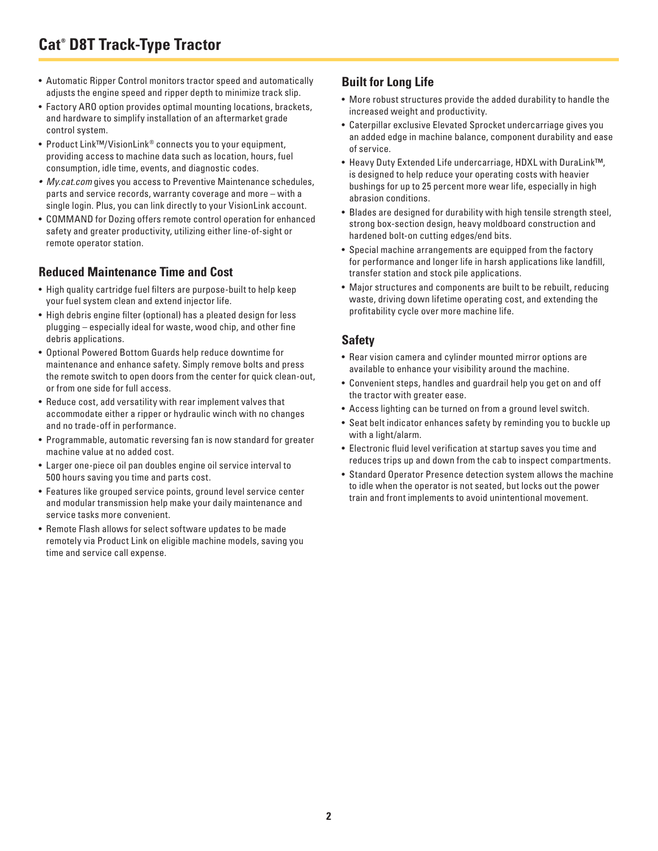# **Cat® D8T Track-Type Tractor**

- Automatic Ripper Control monitors tractor speed and automatically adjusts the engine speed and ripper depth to minimize track slip.
- Factory ARO option provides optimal mounting locations, brackets, and hardware to simplify installation of an aftermarket grade control system.
- Product Link™/VisionLink® connects you to your equipment, providing access to machine data such as location, hours, fuel consumption, idle time, events, and diagnostic codes.
- My.cat.com gives you access to Preventive Maintenance schedules, parts and service records, warranty coverage and more – with a single login. Plus, you can link directly to your VisionLink account.
- COMMAND for Dozing offers remote control operation for enhanced safety and greater productivity, utilizing either line-of-sight or remote operator station.

#### **Reduced Maintenance Time and Cost**

- High quality cartridge fuel filters are purpose-built to help keep your fuel system clean and extend injector life.
- High debris engine filter (optional) has a pleated design for less plugging – especially ideal for waste, wood chip, and other fine debris applications.
- Optional Powered Bottom Guards help reduce downtime for maintenance and enhance safety. Simply remove bolts and press the remote switch to open doors from the center for quick clean-out, or from one side for full access.
- Reduce cost, add versatility with rear implement valves that accommodate either a ripper or hydraulic winch with no changes and no trade-off in performance.
- Programmable, automatic reversing fan is now standard for greater machine value at no added cost.
- Larger one-piece oil pan doubles engine oil service interval to 500 hours saving you time and parts cost.
- Features like grouped service points, ground level service center and modular transmission help make your daily maintenance and service tasks more convenient.
- Remote Flash allows for select software updates to be made remotely via Product Link on eligible machine models, saving you time and service call expense.

### **Built for Long Life**

- More robust structures provide the added durability to handle the increased weight and productivity.
- Caterpillar exclusive Elevated Sprocket undercarriage gives you an added edge in machine balance, component durability and ease of service.
- Heavy Duty Extended Life undercarriage, HDXL with DuraLink™, is designed to help reduce your operating costs with heavier bushings for up to 25 percent more wear life, especially in high abrasion conditions.
- Blades are designed for durability with high tensile strength steel, strong box-section design, heavy moldboard construction and hardened bolt-on cutting edges/end bits.
- Special machine arrangements are equipped from the factory for performance and longer life in harsh applications like landfill, transfer station and stock pile applications.
- Major structures and components are built to be rebuilt, reducing waste, driving down lifetime operating cost, and extending the profitability cycle over more machine life.

#### **Safety**

- Rear vision camera and cylinder mounted mirror options are available to enhance your visibility around the machine.
- Convenient steps, handles and guardrail help you get on and off the tractor with greater ease.
- Access lighting can be turned on from a ground level switch.
- Seat belt indicator enhances safety by reminding you to buckle up with a light/alarm.
- Electronic fluid level verification at startup saves you time and reduces trips up and down from the cab to inspect compartments.
- Standard Operator Presence detection system allows the machine to idle when the operator is not seated, but locks out the power train and front implements to avoid unintentional movement.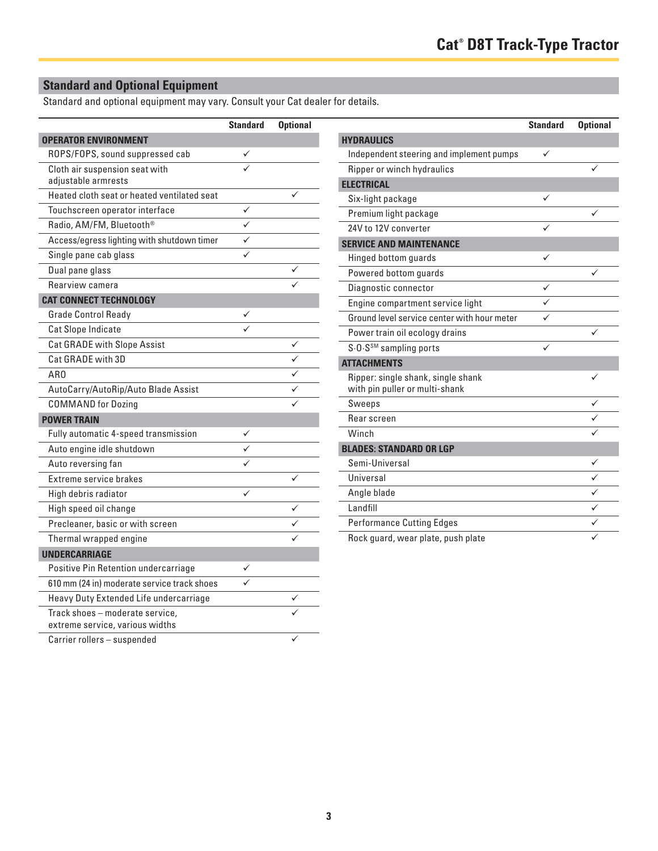## **Standard and Optional Equipment**

Standard and optional equipment may vary. Consult your Cat dealer for details.

|                                             | <b>Standard</b> | <b>Optional</b> |
|---------------------------------------------|-----------------|-----------------|
| <b>OPERATOR ENVIRONMENT</b>                 |                 |                 |
| ROPS/FOPS, sound suppressed cab             |                 |                 |
| Cloth air suspension seat with              |                 |                 |
| adjustable armrests                         |                 |                 |
| Heated cloth seat or heated ventilated seat |                 |                 |
| Touchscreen operator interface              | ✓               |                 |
| Radio, AM/FM, Bluetooth <sup>®</sup>        | ✓               |                 |
| Access/egress lighting with shutdown timer  |                 |                 |
| Single pane cab glass                       |                 |                 |
| Dual pane glass                             |                 |                 |
| Rearview camera                             |                 |                 |
| <b>CAT CONNECT TECHNOLOGY</b>               |                 |                 |
| <b>Grade Control Ready</b>                  |                 |                 |
| Cat Slope Indicate                          |                 |                 |
| <b>Cat GRADE with Slope Assist</b>          |                 |                 |
| Cat GRADE with 3D                           |                 |                 |
| AR0                                         |                 |                 |
| AutoCarry/AutoRip/Auto Blade Assist         |                 |                 |
| <b>COMMAND</b> for Dozing                   |                 |                 |
| <b>POWER TRAIN</b>                          |                 |                 |
| Fully automatic 4-speed transmission        |                 |                 |
| Auto engine idle shutdown                   |                 |                 |
| Auto reversing fan                          |                 |                 |
| Extreme service brakes                      |                 | ✓               |
| High debris radiator                        | ✓               |                 |
| High speed oil change                       |                 |                 |
| Precleaner, basic or with screen            |                 |                 |
| Thermal wrapped engine                      |                 |                 |
| <b>UNDERCARRIAGE</b>                        |                 |                 |
| Positive Pin Retention undercarriage        |                 |                 |
| 610 mm (24 in) moderate service track shoes |                 |                 |
| Heavy Duty Extended Life undercarriage      |                 |                 |
| Track shoes - moderate service,             |                 |                 |
| extreme service, various widths             |                 |                 |
| Carrier rollers - suspended                 |                 |                 |

| <b>Standard</b> | <b>Optional</b> |                                                                      | <b>Standard</b> | <b>Optional</b> |
|-----------------|-----------------|----------------------------------------------------------------------|-----------------|-----------------|
|                 |                 | <b>HYDRAULICS</b>                                                    |                 |                 |
| ✓               |                 | Independent steering and implement pumps                             | ✓               |                 |
|                 |                 | Ripper or winch hydraulics                                           |                 |                 |
|                 |                 | <b>ELECTRICAL</b>                                                    |                 |                 |
|                 | ✓               | Six-light package                                                    | $\checkmark$    |                 |
| ✓               |                 | Premium light package                                                |                 | ✓               |
| ✓               |                 | 24V to 12V converter                                                 | ✓               |                 |
| ✓               |                 | <b>SERVICE AND MAINTENANCE</b>                                       |                 |                 |
| ✓               |                 | Hinged bottom guards                                                 | $\checkmark$    |                 |
|                 | ✓               | Powered bottom guards                                                |                 | ✓               |
|                 | ✓               | Diagnostic connector                                                 | ✓               |                 |
|                 |                 | Engine compartment service light                                     | ✓               |                 |
| ✓               |                 | Ground level service center with hour meter                          | ✓               |                 |
|                 |                 | Power train oil ecology drains                                       |                 | ✓               |
|                 | ✓               | S.O.S <sup>SM</sup> sampling ports                                   | ✓               |                 |
|                 | ✓               | <b>ATTACHMENTS</b>                                                   |                 |                 |
|                 | ✓<br>✓          | Ripper: single shank, single shank<br>with pin puller or multi-shank |                 | ✓               |
|                 | ✓               | Sweeps                                                               |                 |                 |
|                 |                 | Rear screen                                                          |                 | ✓               |
| ✓               |                 | Winch                                                                |                 |                 |
| ✓               |                 | <b>BLADES: STANDARD OR LGP</b>                                       |                 |                 |
| ✓               |                 | Semi-Universal                                                       |                 | ✓               |
|                 | ✓               | Universal                                                            |                 | ✓               |
| ✓               |                 | Angle blade                                                          |                 | ✓               |
|                 | ✓               | Landfill                                                             |                 | ✓               |
|                 | ✓               | <b>Performance Cutting Edges</b>                                     |                 | ✓               |
|                 | ✓               | Rock guard, wear plate, push plate                                   |                 | ✓               |